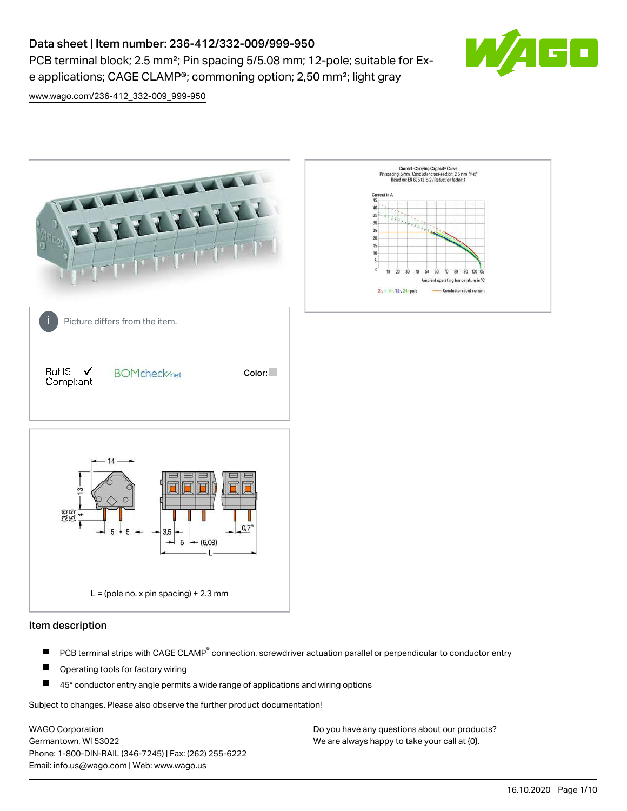PCB terminal block; 2.5 mm<sup>2</sup>; Pin spacing 5/5.08 mm; 12-pole; suitable for Exe applications; CAGE CLAMP®; commoning option; 2,50 mm²; light gray



[www.wago.com/236-412\\_332-009\\_999-950](http://www.wago.com/236-412_332-009_999-950)



### Item description

- PCB terminal strips with CAGE CLAMP<sup>®</sup> connection, screwdriver actuation parallel or perpendicular to conductor entry П
- П Operating tools for factory wiring
- П 45° conductor entry angle permits a wide range of applications and wiring options

Subject to changes. Please also observe the further product documentation!

WAGO Corporation Germantown, WI 53022 Phone: 1-800-DIN-RAIL (346-7245) | Fax: (262) 255-6222 Email: info.us@wago.com | Web: www.wago.us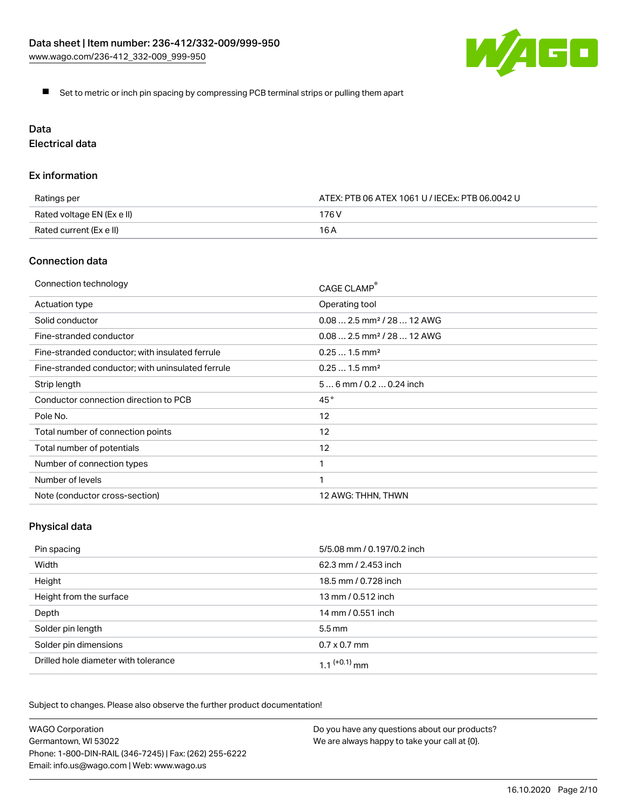

Set to metric or inch pin spacing by compressing PCB terminal strips or pulling them apart

# Data

Electrical data

### Ex information

| Ratings per                | ATEX: PTB 06 ATEX 1061 U / IECEx: PTB 06.0042 U |  |
|----------------------------|-------------------------------------------------|--|
| Rated voltage EN (Ex e II) | 176 V                                           |  |
| Rated current (Ex e II)    | 16 A                                            |  |

## Connection data

| Connection technology                             | CAGE CLAMP®                            |
|---------------------------------------------------|----------------------------------------|
| Actuation type                                    | Operating tool                         |
| Solid conductor                                   | $0.082.5$ mm <sup>2</sup> / 28  12 AWG |
| Fine-stranded conductor                           | $0.082.5$ mm <sup>2</sup> / 28  12 AWG |
| Fine-stranded conductor; with insulated ferrule   | $0.251.5$ mm <sup>2</sup>              |
| Fine-stranded conductor; with uninsulated ferrule | $0.251.5$ mm <sup>2</sup>              |
| Strip length                                      | $56$ mm / 0.2 $$ 0.24 inch             |
| Conductor connection direction to PCB             | 45°                                    |
| Pole No.                                          | 12                                     |
| Total number of connection points                 | 12                                     |
| Total number of potentials                        | 12                                     |
| Number of connection types                        |                                        |
| Number of levels                                  | 1                                      |
| Note (conductor cross-section)                    | 12 AWG: THHN, THWN                     |

# Physical data

| Pin spacing                          | 5/5.08 mm / 0.197/0.2 inch |
|--------------------------------------|----------------------------|
| Width                                | 62.3 mm / 2.453 inch       |
| Height                               | 18.5 mm / 0.728 inch       |
| Height from the surface              | 13 mm / 0.512 inch         |
| Depth                                | 14 mm / 0.551 inch         |
| Solder pin length                    | $5.5 \,\mathrm{mm}$        |
| Solder pin dimensions                | $0.7 \times 0.7$ mm        |
| Drilled hole diameter with tolerance | 1.1 $(+0.1)$ mm            |

Subject to changes. Please also observe the further product documentation!

| <b>WAGO Corporation</b>                                | Do you have any questions about our products? |
|--------------------------------------------------------|-----------------------------------------------|
| Germantown, WI 53022                                   | We are always happy to take your call at {0}. |
| Phone: 1-800-DIN-RAIL (346-7245)   Fax: (262) 255-6222 |                                               |
| Email: info.us@wago.com   Web: www.wago.us             |                                               |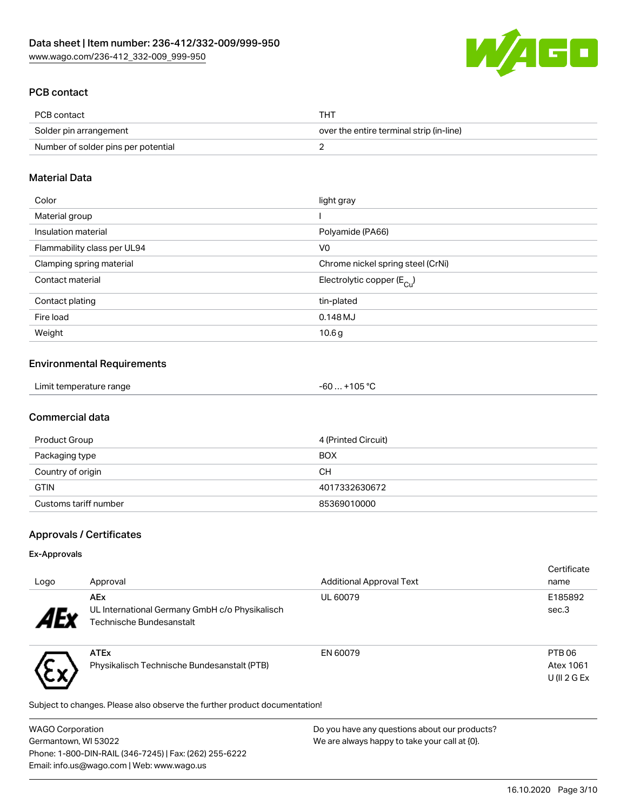

## PCB contact

| PCB contact                         | <b>THT</b>                               |
|-------------------------------------|------------------------------------------|
| Solder pin arrangement              | over the entire terminal strip (in-line) |
| Number of solder pins per potential |                                          |

## Material Data

| Color                       | light gray                             |
|-----------------------------|----------------------------------------|
| Material group              |                                        |
| Insulation material         | Polyamide (PA66)                       |
| Flammability class per UL94 | V <sub>0</sub>                         |
| Clamping spring material    | Chrome nickel spring steel (CrNi)      |
| Contact material            | Electrolytic copper (E <sub>Cu</sub> ) |
| Contact plating             | tin-plated                             |
| Fire load                   | 0.148MJ                                |
| Weight                      | 10.6 <sub>g</sub>                      |

### Environmental Requirements

## Commercial data

| Product Group         | 4 (Printed Circuit) |
|-----------------------|---------------------|
| Packaging type        | <b>BOX</b>          |
| Country of origin     | CН                  |
| <b>GTIN</b>           | 4017332630672       |
| Customs tariff number | 85369010000         |

## Approvals / Certificates

### Ex-Approvals

トッ

| Logo          | Approval                                                     | <b>Additional Approval Text</b> | Certificate<br>name |
|---------------|--------------------------------------------------------------|---------------------------------|---------------------|
| $4E^{\prime}$ | <b>AEx</b><br>UL International Germany GmbH c/o Physikalisch | UL 60079                        | E185892<br>sec.3    |
|               | Technische Bundesanstalt                                     |                                 |                     |
|               | <b>ATEx</b>                                                  | EN 60079                        | PTB <sub>06</sub>   |
|               | Physikalisch Technische Bundesanstalt (PTB)                  |                                 | Atex 1061           |
|               |                                                              |                                 | $U$ (II 2 G Ex      |

Subject to changes. Please also observe the further product documentation!

| <b>WAGO Corporation</b>                                | Do you have any questions about our products? |
|--------------------------------------------------------|-----------------------------------------------|
| Germantown, WI 53022                                   | We are always happy to take your call at {0}. |
| Phone: 1-800-DIN-RAIL (346-7245)   Fax: (262) 255-6222 |                                               |
| Email: info.us@wago.com   Web: www.wago.us             |                                               |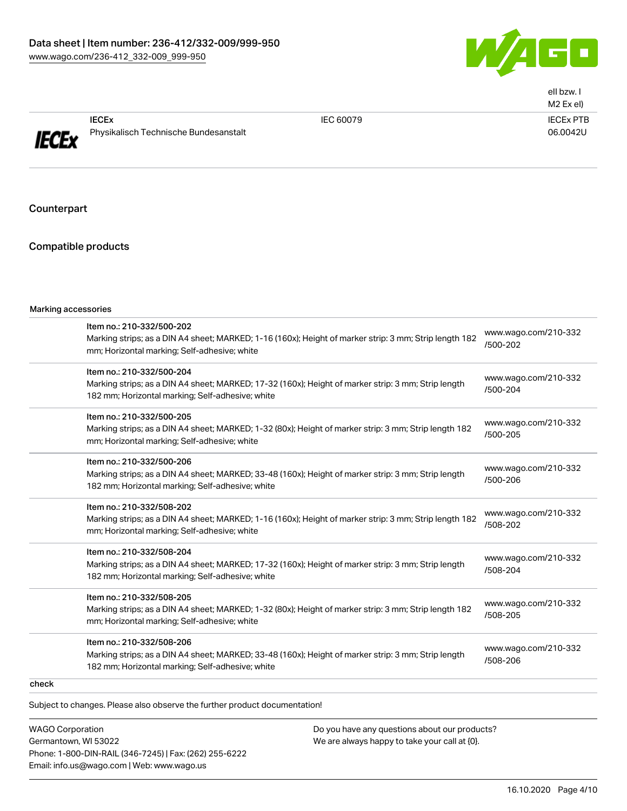

|              |                                                                  |           | ell bzw. I<br>M2 Ex el)      |
|--------------|------------------------------------------------------------------|-----------|------------------------------|
| <b>IECEx</b> | <b>IECE<sub>x</sub></b><br>Physikalisch Technische Bundesanstalt | IEC 60079 | <b>IECEX PTB</b><br>06.0042U |

**Counterpart** 

#### Compatible products

| Marking accessories |  |
|---------------------|--|
|                     |  |

| Item no.: 210-332/508-206<br>Marking strips; as a DIN A4 sheet; MARKED; 33-48 (160x); Height of marker strip: 3 mm; Strip length<br>182 mm; Horizontal marking; Self-adhesive; white | www.wago.com/210-332<br>/508-206 |
|--------------------------------------------------------------------------------------------------------------------------------------------------------------------------------------|----------------------------------|
| Item no.: 210-332/508-205<br>Marking strips; as a DIN A4 sheet; MARKED; 1-32 (80x); Height of marker strip: 3 mm; Strip length 182<br>mm; Horizontal marking; Self-adhesive; white   | www.wago.com/210-332<br>/508-205 |
| Item no.: 210-332/508-204<br>Marking strips; as a DIN A4 sheet; MARKED; 17-32 (160x); Height of marker strip: 3 mm; Strip length<br>182 mm; Horizontal marking; Self-adhesive; white | www.wago.com/210-332<br>/508-204 |
| Item no.: 210-332/508-202<br>Marking strips; as a DIN A4 sheet; MARKED; 1-16 (160x); Height of marker strip: 3 mm; Strip length 182<br>mm; Horizontal marking; Self-adhesive; white  | www.wago.com/210-332<br>/508-202 |
| Item no.: 210-332/500-206<br>Marking strips; as a DIN A4 sheet; MARKED; 33-48 (160x); Height of marker strip: 3 mm; Strip length<br>182 mm; Horizontal marking; Self-adhesive; white | www.wago.com/210-332<br>/500-206 |
| Item no.: 210-332/500-205<br>Marking strips; as a DIN A4 sheet; MARKED; 1-32 (80x); Height of marker strip: 3 mm; Strip length 182<br>mm; Horizontal marking; Self-adhesive; white   | www.wago.com/210-332<br>/500-205 |
| Item no.: 210-332/500-204<br>Marking strips; as a DIN A4 sheet; MARKED; 17-32 (160x); Height of marker strip: 3 mm; Strip length<br>182 mm; Horizontal marking; Self-adhesive; white | www.wago.com/210-332<br>/500-204 |
| Item no.: 210-332/500-202<br>Marking strips; as a DIN A4 sheet; MARKED; 1-16 (160x); Height of marker strip: 3 mm; Strip length 182<br>mm; Horizontal marking; Self-adhesive; white  | www.wago.com/210-332<br>/500-202 |

check

Subject to changes. Please also observe the further product documentation!

WAGO Corporation Germantown, WI 53022 Phone: 1-800-DIN-RAIL (346-7245) | Fax: (262) 255-6222 Email: info.us@wago.com | Web: www.wago.us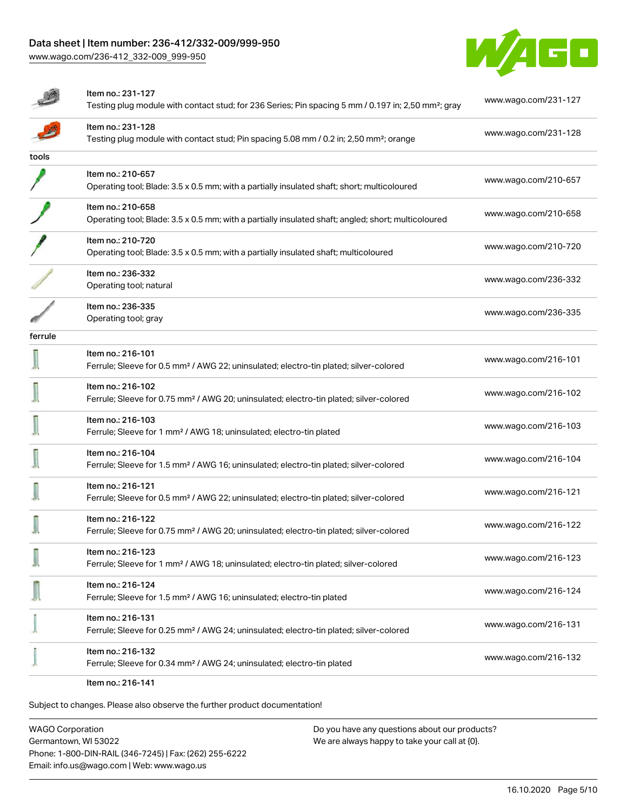[www.wago.com/236-412\\_332-009\\_999-950](http://www.wago.com/236-412_332-009_999-950)



|         | Item no.: 231-127<br>Testing plug module with contact stud; for 236 Series; Pin spacing 5 mm / 0.197 in; 2,50 mm <sup>2</sup> ; gray | www.wago.com/231-127 |
|---------|--------------------------------------------------------------------------------------------------------------------------------------|----------------------|
|         | Item no.: 231-128<br>Testing plug module with contact stud; Pin spacing 5.08 mm / 0.2 in; 2,50 mm <sup>2</sup> ; orange              | www.wago.com/231-128 |
| tools   |                                                                                                                                      |                      |
|         | Item no.: 210-657<br>Operating tool; Blade: 3.5 x 0.5 mm; with a partially insulated shaft; short; multicoloured                     | www.wago.com/210-657 |
|         | Item no.: 210-658<br>Operating tool; Blade: 3.5 x 0.5 mm; with a partially insulated shaft; angled; short; multicoloured             | www.wago.com/210-658 |
|         | Item no.: 210-720<br>Operating tool; Blade: 3.5 x 0.5 mm; with a partially insulated shaft; multicoloured                            | www.wago.com/210-720 |
|         | Item no.: 236-332<br>Operating tool; natural                                                                                         | www.wago.com/236-332 |
|         | Item no.: 236-335<br>Operating tool; gray                                                                                            | www.wago.com/236-335 |
| ferrule |                                                                                                                                      |                      |
|         | Item no.: 216-101<br>Ferrule; Sleeve for 0.5 mm <sup>2</sup> / AWG 22; uninsulated; electro-tin plated; silver-colored               | www.wago.com/216-101 |
|         | Item no.: 216-102<br>Ferrule; Sleeve for 0.75 mm <sup>2</sup> / AWG 20; uninsulated; electro-tin plated; silver-colored              | www.wago.com/216-102 |
|         | Item no.: 216-103<br>Ferrule; Sleeve for 1 mm <sup>2</sup> / AWG 18; uninsulated; electro-tin plated                                 | www.wago.com/216-103 |
|         | Item no.: 216-104<br>Ferrule; Sleeve for 1.5 mm <sup>2</sup> / AWG 16; uninsulated; electro-tin plated; silver-colored               | www.wago.com/216-104 |
|         | Item no.: 216-121<br>Ferrule; Sleeve for 0.5 mm <sup>2</sup> / AWG 22; uninsulated; electro-tin plated; silver-colored               | www.wago.com/216-121 |
|         | Item no.: 216-122<br>Ferrule; Sleeve for 0.75 mm <sup>2</sup> / AWG 20; uninsulated; electro-tin plated; silver-colored              | www.wago.com/216-122 |
|         | Item no.: 216-123<br>Ferrule; Sleeve for 1 mm <sup>2</sup> / AWG 18; uninsulated; electro-tin plated; silver-colored                 | www.wago.com/216-123 |
|         | Item no.: 216-124<br>Ferrule; Sleeve for 1.5 mm <sup>2</sup> / AWG 16; uninsulated; electro-tin plated                               | www.wago.com/216-124 |
|         | Item no.: 216-131<br>Ferrule; Sleeve for 0.25 mm <sup>2</sup> / AWG 24; uninsulated; electro-tin plated; silver-colored              | www.wago.com/216-131 |
|         | Item no.: 216-132<br>Ferrule; Sleeve for 0.34 mm <sup>2</sup> / AWG 24; uninsulated; electro-tin plated                              | www.wago.com/216-132 |
|         | Item no.: 216-141                                                                                                                    |                      |

Subject to changes. Please also observe the further product documentation!

WAGO Corporation Germantown, WI 53022 Phone: 1-800-DIN-RAIL (346-7245) | Fax: (262) 255-6222 Email: info.us@wago.com | Web: www.wago.us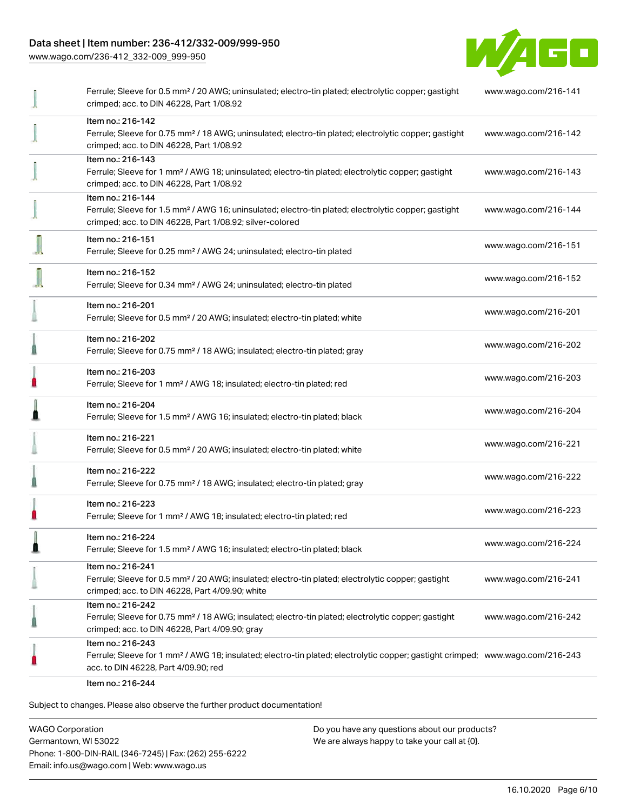[www.wago.com/236-412\\_332-009\\_999-950](http://www.wago.com/236-412_332-009_999-950)



| Ferrule; Sleeve for 0.5 mm <sup>2</sup> / 20 AWG; uninsulated; electro-tin plated; electrolytic copper; gastight<br>crimped; acc. to DIN 46228, Part 1/08.92                                            | www.wago.com/216-141 |
|---------------------------------------------------------------------------------------------------------------------------------------------------------------------------------------------------------|----------------------|
| Item no.: 216-142<br>Ferrule; Sleeve for 0.75 mm <sup>2</sup> / 18 AWG; uninsulated; electro-tin plated; electrolytic copper; gastight<br>crimped; acc. to DIN 46228, Part 1/08.92                      | www.wago.com/216-142 |
| Item no.: 216-143<br>Ferrule; Sleeve for 1 mm <sup>2</sup> / AWG 18; uninsulated; electro-tin plated; electrolytic copper; gastight<br>crimped; acc. to DIN 46228, Part 1/08.92                         | www.wago.com/216-143 |
| Item no.: 216-144<br>Ferrule; Sleeve for 1.5 mm <sup>2</sup> / AWG 16; uninsulated; electro-tin plated; electrolytic copper; gastight<br>crimped; acc. to DIN 46228, Part 1/08.92; silver-colored       | www.wago.com/216-144 |
| Item no.: 216-151<br>Ferrule; Sleeve for 0.25 mm <sup>2</sup> / AWG 24; uninsulated; electro-tin plated                                                                                                 | www.wago.com/216-151 |
| Item no.: 216-152<br>Ferrule; Sleeve for 0.34 mm <sup>2</sup> / AWG 24; uninsulated; electro-tin plated                                                                                                 | www.wago.com/216-152 |
| Item no.: 216-201<br>Ferrule; Sleeve for 0.5 mm <sup>2</sup> / 20 AWG; insulated; electro-tin plated; white                                                                                             | www.wago.com/216-201 |
| Item no.: 216-202<br>Ferrule; Sleeve for 0.75 mm <sup>2</sup> / 18 AWG; insulated; electro-tin plated; gray                                                                                             | www.wago.com/216-202 |
| Item no.: 216-203<br>Ferrule; Sleeve for 1 mm <sup>2</sup> / AWG 18; insulated; electro-tin plated; red                                                                                                 | www.wago.com/216-203 |
| Item no.: 216-204<br>Ferrule; Sleeve for 1.5 mm <sup>2</sup> / AWG 16; insulated; electro-tin plated; black                                                                                             | www.wago.com/216-204 |
| Item no.: 216-221<br>Ferrule; Sleeve for 0.5 mm <sup>2</sup> / 20 AWG; insulated; electro-tin plated; white                                                                                             | www.wago.com/216-221 |
| Item no.: 216-222<br>Ferrule; Sleeve for 0.75 mm <sup>2</sup> / 18 AWG; insulated; electro-tin plated; gray                                                                                             | www.wago.com/216-222 |
| Item no.: 216-223<br>Ferrule; Sleeve for 1 mm <sup>2</sup> / AWG 18; insulated; electro-tin plated; red                                                                                                 | www.wago.com/216-223 |
| Item no.: 216-224<br>Ferrule; Sleeve for 1.5 mm <sup>2</sup> / AWG 16; insulated; electro-tin plated; black                                                                                             | www.wago.com/216-224 |
| Item no.: 216-241<br>Ferrule; Sleeve for 0.5 mm <sup>2</sup> / 20 AWG; insulated; electro-tin plated; electrolytic copper; gastight<br>crimped; acc. to DIN 46228, Part 4/09.90; white                  | www.wago.com/216-241 |
| Item no.: 216-242<br>Ferrule; Sleeve for 0.75 mm <sup>2</sup> / 18 AWG; insulated; electro-tin plated; electrolytic copper; gastight<br>crimped; acc. to DIN 46228, Part 4/09.90; gray                  | www.wago.com/216-242 |
| Item no.: 216-243<br>Ferrule; Sleeve for 1 mm <sup>2</sup> / AWG 18; insulated; electro-tin plated; electrolytic copper; gastight crimped; www.wago.com/216-243<br>acc. to DIN 46228, Part 4/09.90; red |                      |
| Item no.: 216-244                                                                                                                                                                                       |                      |

Subject to changes. Please also observe the further product documentation!

WAGO Corporation Germantown, WI 53022 Phone: 1-800-DIN-RAIL (346-7245) | Fax: (262) 255-6222 Email: info.us@wago.com | Web: www.wago.us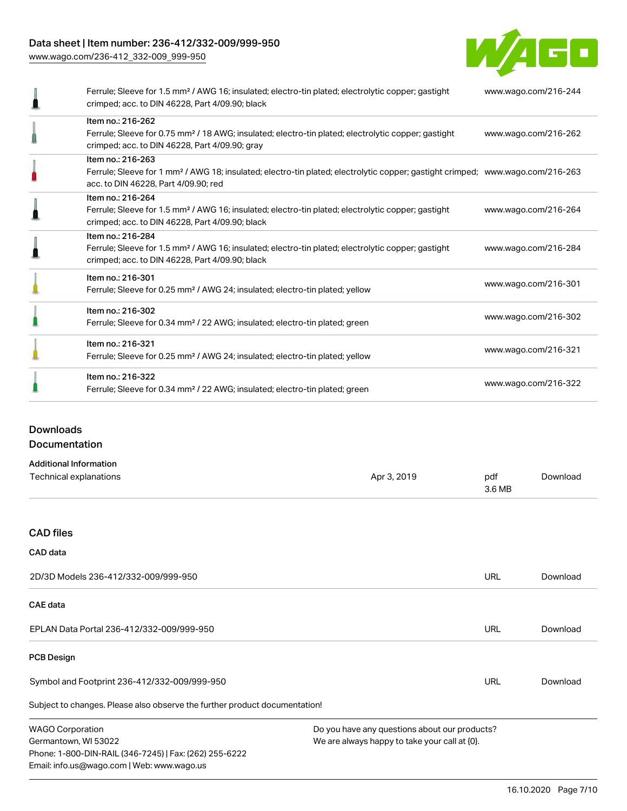[www.wago.com/236-412\\_332-009\\_999-950](http://www.wago.com/236-412_332-009_999-950)



| Ferrule; Sleeve for 1.5 mm <sup>2</sup> / AWG 16; insulated; electro-tin plated; electrolytic copper; gastight<br>crimped; acc. to DIN 46228, Part 4/09.90; black                                       | www.wago.com/216-244 |
|---------------------------------------------------------------------------------------------------------------------------------------------------------------------------------------------------------|----------------------|
| Item no.: 216-262<br>Ferrule; Sleeve for 0.75 mm <sup>2</sup> / 18 AWG; insulated; electro-tin plated; electrolytic copper; gastight<br>crimped; acc. to DIN 46228, Part 4/09.90; gray                  | www.wago.com/216-262 |
| Item no.: 216-263<br>Ferrule; Sleeve for 1 mm <sup>2</sup> / AWG 18; insulated; electro-tin plated; electrolytic copper; gastight crimped; www.wago.com/216-263<br>acc. to DIN 46228, Part 4/09.90; red |                      |
| Item no.: 216-264<br>Ferrule; Sleeve for 1.5 mm <sup>2</sup> / AWG 16; insulated; electro-tin plated; electrolytic copper; gastight<br>crimped; acc. to DIN 46228, Part 4/09.90; black                  | www.wago.com/216-264 |
| Item no.: 216-284<br>Ferrule; Sleeve for 1.5 mm <sup>2</sup> / AWG 16; insulated; electro-tin plated; electrolytic copper; gastight<br>crimped; acc. to DIN 46228, Part 4/09.90; black                  | www.wago.com/216-284 |
| Item no.: 216-301<br>Ferrule; Sleeve for 0.25 mm <sup>2</sup> / AWG 24; insulated; electro-tin plated; yellow                                                                                           | www.wago.com/216-301 |
| Item no.: 216-302<br>Ferrule; Sleeve for 0.34 mm <sup>2</sup> / 22 AWG; insulated; electro-tin plated; green                                                                                            | www.wago.com/216-302 |
| Item no.: 216-321<br>Ferrule; Sleeve for 0.25 mm <sup>2</sup> / AWG 24; insulated; electro-tin plated; yellow                                                                                           | www.wago.com/216-321 |
| Item no.: 216-322<br>Ferrule; Sleeve for 0.34 mm <sup>2</sup> / 22 AWG; insulated; electro-tin plated; green                                                                                            | www.wago.com/216-322 |

## Downloads Documentation

| <b>Additional Information</b>                                              |                                               |               |          |
|----------------------------------------------------------------------------|-----------------------------------------------|---------------|----------|
| <b>Technical explanations</b>                                              | Apr 3, 2019                                   | pdf<br>3.6 MB | Download |
|                                                                            |                                               |               |          |
| <b>CAD files</b>                                                           |                                               |               |          |
| CAD data                                                                   |                                               |               |          |
| 2D/3D Models 236-412/332-009/999-950                                       |                                               | <b>URL</b>    | Download |
| CAE data                                                                   |                                               |               |          |
| EPLAN Data Portal 236-412/332-009/999-950                                  |                                               | <b>URL</b>    | Download |
| <b>PCB Design</b>                                                          |                                               |               |          |
| Symbol and Footprint 236-412/332-009/999-950                               |                                               | <b>URL</b>    | Download |
| Subject to changes. Please also observe the further product documentation! |                                               |               |          |
| <b>WAGO Corporation</b>                                                    | Do you have any questions about our products? |               |          |
| Germantown, WI 53022                                                       | We are always happy to take your call at {0}. |               |          |
| Phone: 1-800-DIN-RAIL (346-7245)   Fax: (262) 255-6222                     |                                               |               |          |
| Email: info.us@wago.com   Web: www.wago.us                                 |                                               |               |          |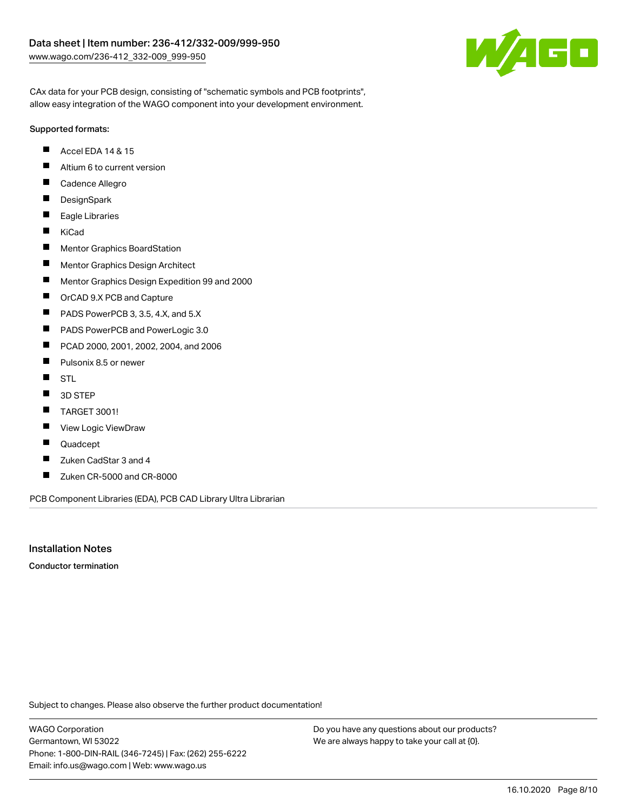

CAx data for your PCB design, consisting of "schematic symbols and PCB footprints", allow easy integration of the WAGO component into your development environment.

#### Supported formats:

- $\blacksquare$ Accel EDA 14 & 15
- $\blacksquare$ Altium 6 to current version
- $\blacksquare$ Cadence Allegro
- $\blacksquare$ **DesignSpark**
- $\blacksquare$ Eagle Libraries
- $\blacksquare$ KiCad
- $\blacksquare$ Mentor Graphics BoardStation
- $\blacksquare$ Mentor Graphics Design Architect
- $\blacksquare$ Mentor Graphics Design Expedition 99 and 2000
- П OrCAD 9.X PCB and Capture
- $\blacksquare$ PADS PowerPCB 3, 3.5, 4.X, and 5.X
- $\blacksquare$ PADS PowerPCB and PowerLogic 3.0
- $\blacksquare$ PCAD 2000, 2001, 2002, 2004, and 2006
- $\blacksquare$ Pulsonix 8.5 or newer
- $\blacksquare$ STL
- $\blacksquare$ 3D STEP
- $\blacksquare$ TARGET 3001!
- $\blacksquare$ View Logic ViewDraw
- П Quadcept
- П Zuken CadStar 3 and 4
- $\blacksquare$ Zuken CR-5000 and CR-8000

PCB Component Libraries (EDA), PCB CAD Library Ultra Librarian

### Installation Notes

Conductor termination

Subject to changes. Please also observe the further product documentation!

WAGO Corporation Germantown, WI 53022 Phone: 1-800-DIN-RAIL (346-7245) | Fax: (262) 255-6222 Email: info.us@wago.com | Web: www.wago.us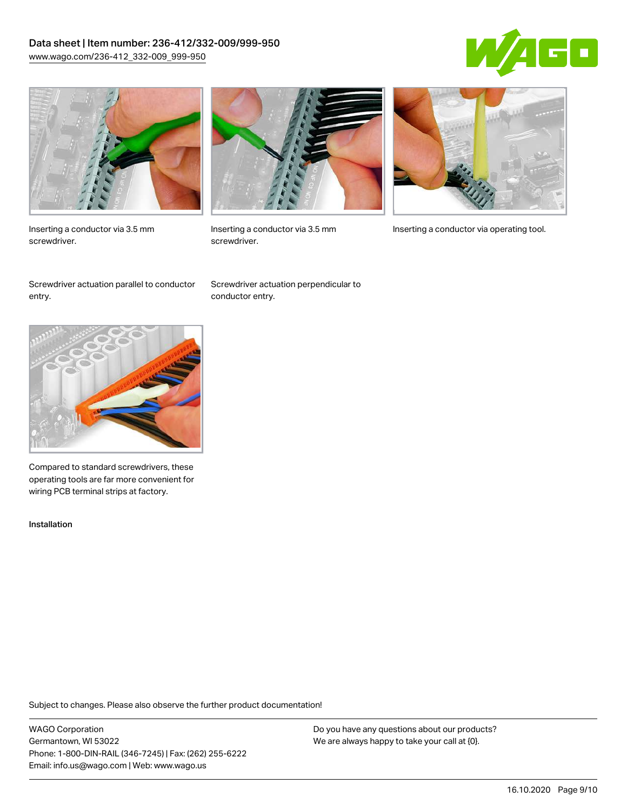## Data sheet | Item number: 236-412/332-009/999-950 [www.wago.com/236-412\\_332-009\\_999-950](http://www.wago.com/236-412_332-009_999-950)





Inserting a conductor via 3.5 mm screwdriver.



screwdriver.

Inserting a conductor via 3.5 mm Inserting a conductor via operating tool.

Screwdriver actuation parallel to conductor entry.

Screwdriver actuation perpendicular to conductor entry.



Compared to standard screwdrivers, these operating tools are far more convenient for wiring PCB terminal strips at factory.

Installation

Subject to changes. Please also observe the further product documentation!

WAGO Corporation Germantown, WI 53022 Phone: 1-800-DIN-RAIL (346-7245) | Fax: (262) 255-6222 Email: info.us@wago.com | Web: www.wago.us